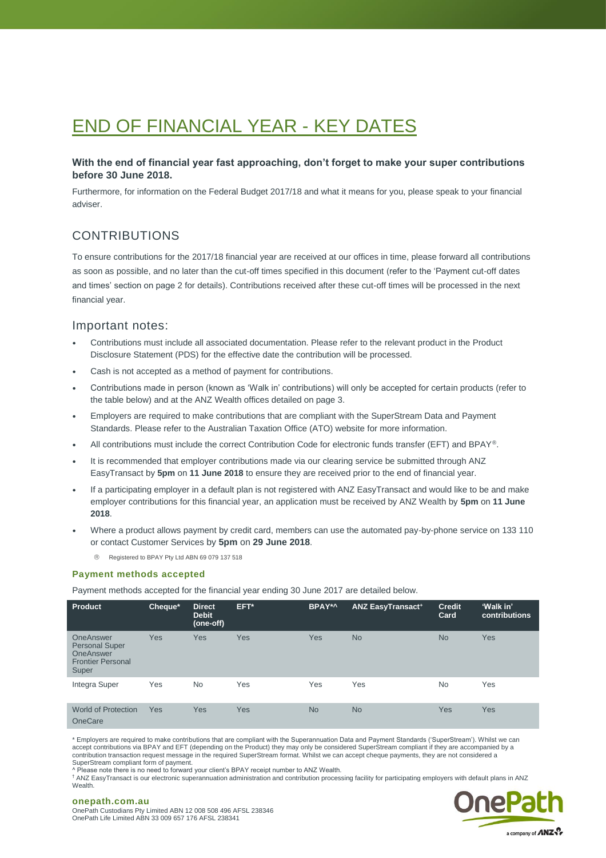# END OF FINANCIAL YEAR - KEY DATES

# **With the end of financial year fast approaching, don't forget to make your super contributions before 30 June 2018.**

Furthermore, for information on the Federal Budget 2017/18 and what it means for you, please speak to your financial adviser.

# CONTRIBUTIONS

To ensure contributions for the 2017/18 financial year are received at our offices in time, please forward all contributions as soon as possible, and no later than the cut-off times specified in this document (refer to the 'Payment cut-off dates and times' section on page 2 for details). Contributions received after these cut-off times will be processed in the next financial year.

# Important notes:

- Contributions must include all associated documentation. Please refer to the relevant product in the Product Disclosure Statement (PDS) for the effective date the contribution will be processed.
- Cash is not accepted as a method of payment for contributions.
- Contributions made in person (known as 'Walk in' contributions) will only be accepted for certain products (refer to the table below) and at the ANZ Wealth offices detailed on page 3.
- Employers are required to make contributions that are compliant with the SuperStream Data and Payment Standards. Please refer to the Australian Taxation Office (ATO) website for more information.
- All contributions must include the correct Contribution Code for electronic funds transfer (EFT) and BPAY®.
- It is recommended that employer contributions made via our clearing service be submitted through ANZ EasyTransact by **5pm** on **11 June 2018** to ensure they are received prior to the end of financial year.
- If a participating employer in a default plan is not registered with ANZ EasyTransact and would like to be and make employer contributions for this financial year, an application must be received by ANZ Wealth by **5pm** on **11 June 2018**.
- Where a product allows payment by credit card, members can use the automated pay-by-phone service on 133 110 or contact Customer Services by **5pm** on **29 June 2018**.
	- Registered to BPAY Pty Ltd ABN 69 079 137 518

#### **Payment methods accepted**

Payment methods accepted for the financial year ending 30 June 2017 are detailed below.

| <b>Product</b>                                                                       | Cheque* | <b>Direct</b><br><b>Debit</b><br>(one-off) | EFT*       | BPAY*^     | <b>ANZ EasyTransact<sup>+</sup></b> | <b>Credit</b><br>Card | 'Walk in'<br><b>contributions</b> |
|--------------------------------------------------------------------------------------|---------|--------------------------------------------|------------|------------|-------------------------------------|-----------------------|-----------------------------------|
| OneAnswer<br><b>Personal Super</b><br>OneAnswer<br><b>Frontier Personal</b><br>Super | Yes     | Yes                                        | Yes        | <b>Yes</b> | <b>No</b>                           | <b>No</b>             | Yes                               |
| Integra Super                                                                        | Yes     | <b>No</b>                                  | Yes        | Yes        | Yes                                 | <b>No</b>             | Yes                               |
| <b>World of Protection</b><br><b>OneCare</b>                                         | Yes     | Yes                                        | <b>Yes</b> | <b>No</b>  | <b>No</b>                           | Yes                   | <b>Yes</b>                        |

\* Employers are required to make contributions that are compliant with the Superannuation Data and Payment Standards ('SuperStream'). Whilst we can accept contributions via BPAY and EFT (depending on the Product) they may only be considered SuperStream compliant if they are accompanied by a contribution transaction request message in the required SuperStream format. Whilst we can accept cheque payments, they are not considered a SuperStream compliant form of payment.

^ Please note there is no need to forward your client's BPAY receipt number to ANZ Wealth.

† ANZ EasyTransact is our electronic superannuation administration and contribution processing facility for participating employers with default plans in ANZ Wealth.



#### **onepath.com.au** OnePath Custodians Pty Limited ABN 12 008 508 496 AFSL 238346 OnePath Life Limited ABN 33 009 657 176 AFSL 238341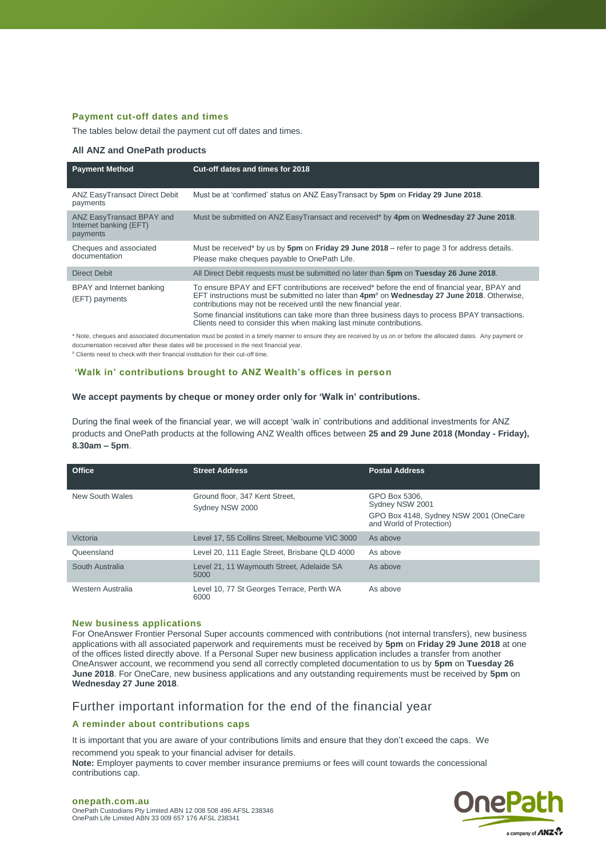## **Payment cut-off dates and times**

The tables below detail the payment cut off dates and times.

#### **All ANZ and OnePath products**

| <b>Payment Method</b>                                           | Cut-off dates and times for 2018                                                                                                                                                                                                                                                                                                                                                                                                                        |
|-----------------------------------------------------------------|---------------------------------------------------------------------------------------------------------------------------------------------------------------------------------------------------------------------------------------------------------------------------------------------------------------------------------------------------------------------------------------------------------------------------------------------------------|
| <b>ANZ EasyTransact Direct Debit</b><br>payments                | Must be at 'confirmed' status on ANZ EasyTransact by 5pm on Friday 29 June 2018.                                                                                                                                                                                                                                                                                                                                                                        |
| ANZ EasyTransact BPAY and<br>Internet banking (EFT)<br>payments | Must be submitted on ANZ EasyTransact and received* by 4pm on Wednesday 27 June 2018.                                                                                                                                                                                                                                                                                                                                                                   |
| Cheques and associated<br>documentation                         | Must be received* by us by 5pm on Friday 29 June 2018 – refer to page 3 for address details.<br>Please make cheques payable to OnePath Life.                                                                                                                                                                                                                                                                                                            |
| Direct Debit                                                    | All Direct Debit requests must be submitted no later than 5pm on Tuesday 26 June 2018.                                                                                                                                                                                                                                                                                                                                                                  |
| BPAY and Internet banking<br>(EFT) payments                     | To ensure BPAY and EFT contributions are received* before the end of financial year, BPAY and<br>EFT instructions must be submitted no later than 4pm <sup>#</sup> on Wednesday 27 June 2018. Otherwise,<br>contributions may not be received until the new financial year.<br>Some financial institutions can take more than three business days to process BPAY transactions.<br>Clients need to consider this when making last minute contributions. |

\* Note, cheques and associated documentation must be posted in a timely manner to ensure they are received by us on or before the allocated dates. Any payment or documentation received after these dates will be processed in the next financial year.

# Clients need to check with their financial institution for their cut-off time.

### **'Walk in' contributions brought to ANZ Wealth's offices in person**

#### **We accept payments by cheque or money order only for 'Walk in' contributions.**

During the final week of the financial year, we will accept 'walk in' contributions and additional investments for ANZ products and OnePath products at the following ANZ Wealth offices between **25 and 29 June 2018 (Monday - Friday), 8.30am – 5pm**.

| Office            | <b>Street Address</b>                             | <b>Postal Address</b>                                                                                  |
|-------------------|---------------------------------------------------|--------------------------------------------------------------------------------------------------------|
| New South Wales   | Ground floor, 347 Kent Street,<br>Sydney NSW 2000 | GPO Box 5306.<br>Sydney NSW 2001<br>GPO Box 4148, Sydney NSW 2001 (OneCare<br>and World of Protection) |
| Victoria          | Level 17, 55 Collins Street. Melbourne VIC 3000   | As above                                                                                               |
| Queensland        | Level 20, 111 Eagle Street, Brisbane QLD 4000     | As above                                                                                               |
| South Australia   | Level 21, 11 Waymouth Street, Adelaide SA<br>5000 | As above                                                                                               |
| Western Australia | Level 10, 77 St Georges Terrace, Perth WA<br>6000 | As above                                                                                               |

#### **New business applications**

For OneAnswer Frontier Personal Super accounts commenced with contributions (not internal transfers), new business applications with all associated paperwork and requirements must be received by **5pm** on **Friday 29 June 2018** at one of the offices listed directly above. If a Personal Super new business application includes a transfer from another OneAnswer account, we recommend you send all correctly completed documentation to us by **5pm** on **Tuesday 26 June 2018**. For OneCare, new business applications and any outstanding requirements must be received by **5pm** on **Wednesday 27 June 2018**.

# Further important information for the end of the financial year

# **A reminder about contributions caps**

It is important that you are aware of your contributions limits and ensure that they don't exceed the caps. We recommend you speak to your financial adviser for details.

**Note:** Employer payments to cover member insurance premiums or fees will count towards the concessional contributions cap.